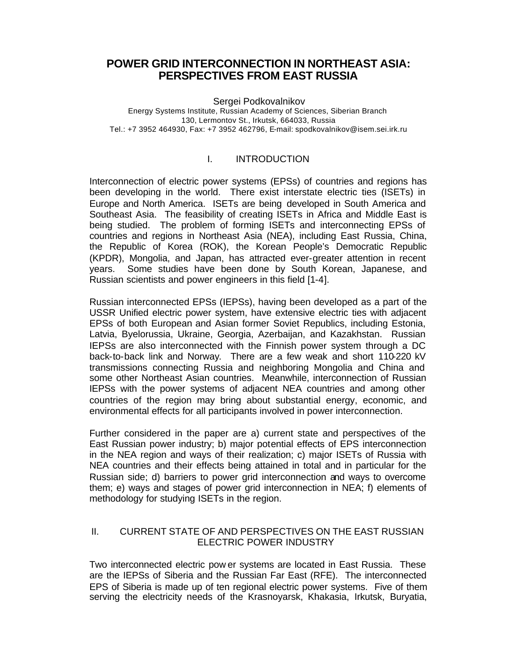# **POWER GRID INTERCONNECTION IN NORTHEAST ASIA: PERSPECTIVES FROM EAST RUSSIA**

Sergei Podkovalnikov Energy Systems Institute, Russian Academy of Sciences, Siberian Branch 130, Lermontov St., Irkutsk, 664033, Russia Tel.: +7 3952 464930, Fax: +7 3952 462796, E-mail: spodkovalnikov@isem.sei.irk.ru

### I. INTRODUCTION

Interconnection of electric power systems (EPSs) of countries and regions has been developing in the world. There exist interstate electric ties (ISETs) in Europe and North America. ISETs are being developed in South America and Southeast Asia. The feasibility of creating ISETs in Africa and Middle East is being studied. The problem of forming ISETs and interconnecting EPSs of countries and regions in Northeast Asia (NEA), including East Russia, China, the Republic of Korea (ROK), the Korean People's Democratic Republic (KPDR), Mongolia, and Japan, has attracted ever-greater attention in recent years. Some studies have been done by South Korean, Japanese, and Russian scientists and power engineers in this field [1-4].

Russian interconnected EPSs (IEPSs), having been developed as a part of the USSR Unified electric power system, have extensive electric ties with adjacent EPSs of both European and Asian former Soviet Republics, including Estonia, Latvia, Byelorussia, Ukraine, Georgia, Azerbaijan, and Kazakhstan. Russian IEPSs are also interconnected with the Finnish power system through a DC back-to-back link and Norway. There are a few weak and short 110-220 kV transmissions connecting Russia and neighboring Mongolia and China and some other Northeast Asian countries. Meanwhile, interconnection of Russian IEPSs with the power systems of adjacent NEA countries and among other countries of the region may bring about substantial energy, economic, and environmental effects for all participants involved in power interconnection.

Further considered in the paper are a) current state and perspectives of the East Russian power industry; b) major potential effects of EPS interconnection in the NEA region and ways of their realization; c) major ISETs of Russia with NEA countries and their effects being attained in total and in particular for the Russian side; d) barriers to power grid interconnection and ways to overcome them; e) ways and stages of power grid interconnection in NEA; f) elements of methodology for studying ISETs in the region.

#### II. CURRENT STATE OF AND PERSPECTIVES ON THE EAST RUSSIAN ELECTRIC POWER INDUSTRY

Two interconnected electric pow er systems are located in East Russia. These are the IEPSs of Siberia and the Russian Far East (RFE). The interconnected EPS of Siberia is made up of ten regional electric power systems. Five of them serving the electricity needs of the Krasnoyarsk, Khakasia, Irkutsk, Buryatia,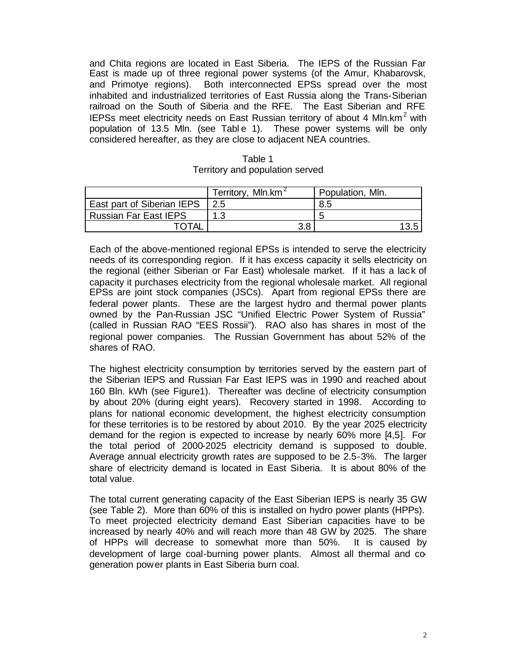and Chita regions are located in East Siberia. The IEPS of the Russian Far East is made up of three regional power systems (of the Amur, Khabarovsk, and Primotye regions). Both interconnected EPSs spread over the most inhabited and industrialized territories of East Russia along the Trans-Siberian railroad on the South of Siberia and the RFE. The East Siberian and RFE IEPSs meet electricity needs on East Russian territory of about 4 Mln. $km^2$  with population of 13.5 Mln. (see Tabl e 1). These power systems will be only considered hereafter, as they are close to adjacent NEA countries.

| Table 1                         |
|---------------------------------|
| Territory and population served |

|                              | Territory, Mln.km <sup>2</sup> | Population, Mln. |
|------------------------------|--------------------------------|------------------|
| East part of Siberian IEPS   |                                | 8.5              |
| <b>Russian Far East IEPS</b> | ī.3                            | ∽                |
| <b>TOTAL</b>                 | 3.8                            |                  |

Each of the above-mentioned regional EPSs is intended to serve the electricity needs of its corresponding region. If it has excess capacity it sells electricity on the regional (either Siberian or Far East) wholesale market. If it has a lac k of capacity it purchases electricity from the regional wholesale market. All regional EPSs are joint stock companies (JSCs). Apart from regional EPSs there are federal power plants. These are the largest hydro and thermal power plants owned by the Pan-Russian JSC "Unified Electric Power System of Russia" (called in Russian RAO "EES Rossii"). RAO also has shares in most of the regional power companies. The Russian Government has about 52% of the shares of RAO.

The highest electricity consumption by territories served by the eastern part of the Siberian IEPS and Russian Far East IEPS was in 1990 and reached about 160 Bln. kWh (see Figure1). Thereafter was decline of electricity consumption by about 20% (during eight years). Recovery started in 1998. According to plans for national economic development, the highest electricity consumption for these territories is to be restored by about 2010. By the year 2025 electricity demand for the region is expected to increase by nearly 60% more [4,5]. For the total period of 2000-2025 electricity demand is supposed to double. Average annual electricity growth rates are supposed to be 2.5-3%. The larger share of electricity demand is located in East Siberia. It is about 80% of the total value.

The total current generating capacity of the East Siberian IEPS is nearly 35 GW (see Table 2). More than 60% of this is installed on hydro power plants (HPPs). To meet projected electricity demand East Siberian capacities have to be increased by nearly 40% and will reach more than 48 GW by 2025. The share of HPPs will decrease to somewhat more than 50%. It is caused by development of large coal-burning power plants. Almost all thermal and cogeneration power plants in East Siberia burn coal.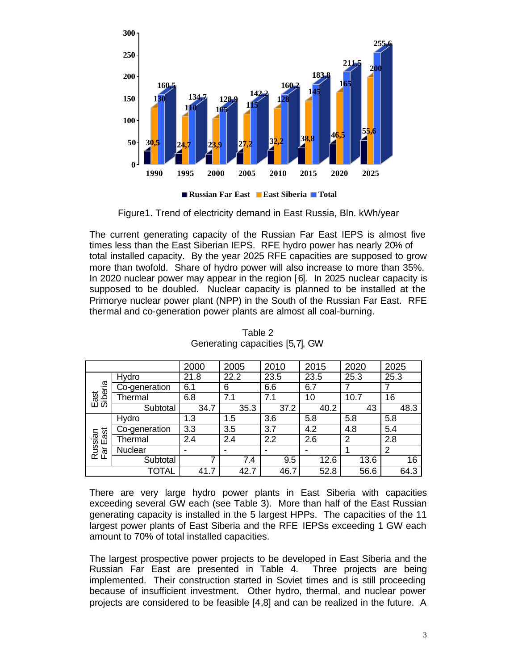

Figure1. Trend of electricity demand in East Russia, Bln. kWh/year

The current generating capacity of the Russian Far East IEPS is almost five times less than the East Siberian IEPS. RFE hydro power has nearly 20% of total installed capacity. By the year 2025 RFE capacities are supposed to grow more than twofold. Share of hydro power will also increase to more than 35%. In 2020 nuclear power may appear in the region [6]. In 2025 nuclear capacity is supposed to be doubled. Nuclear capacity is planned to be installed at the Primorye nuclear power plant (NPP) in the South of the Russian Far East. RFE thermal and co-generation power plants are almost all coal-burning.

|                             |                | 2000 | 2005 | 2010 | 2015 | 2020 | 2025 |
|-----------------------------|----------------|------|------|------|------|------|------|
|                             | Hydro          | 21.8 | 22.2 | 23.5 | 23.5 | 25.3 | 25.3 |
|                             | Co-generation  | 6.1  | 6    | 6.6  | 6.7  | 7    |      |
| East<br>Siberia             | Thermal        | 6.8  | 7.1  | 7.1  | 10   | 10.7 | 16   |
|                             | Subtotal       | 34.7 | 35.3 | 37.2 | 40.2 | 43   | 48.3 |
|                             | Hydro          | 1.3  | 1.5  | 3.6  | 5.8  | 5.8  | 5.8  |
|                             | Co-generation  | 3.3  | 3.5  | 3.7  | 4.2  | 4.8  | 5.4  |
| East<br>Russian<br>Far East | Thermal        | 2.4  | 2.4  | 2.2  | 2.6  | 2    | 2.8  |
| ಹ                           | <b>Nuclear</b> |      |      |      |      |      | 2    |
|                             | Subtotal       | 7    | 7.4  | 9.5  | 12.6 | 13.6 | 16   |
|                             | TOTAL          | 41.7 | 42.7 | 46.7 | 52.8 | 56.6 | 64.3 |

Table 2 Generating capacities [5,7], GW

There are very large hydro power plants in East Siberia with capacities exceeding several GW each (see Table 3). More than half of the East Russian generating capacity is installed in the 5 largest HPPs. The capacities of the 11 largest power plants of East Siberia and the RFE IEPSs exceeding 1 GW each amount to 70% of total installed capacities.

The largest prospective power projects to be developed in East Siberia and the Russian Far East are presented in Table 4. Three projects are being implemented. Their construction started in Soviet times and is still proceeding because of insufficient investment. Other hydro, thermal, and nuclear power projects are considered to be feasible [4,8] and can be realized in the future. A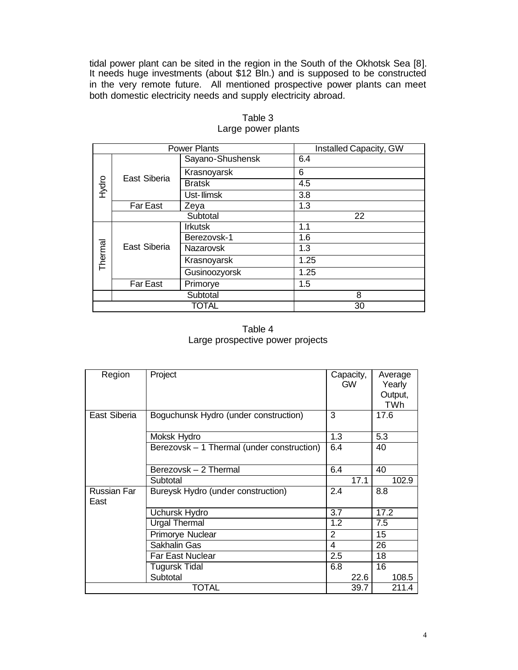tidal power plant can be sited in the region in the South of the Okhotsk Sea [8]. It needs huge investments (about \$12 Bln.) and is supposed to be constructed in the very remote future. All mentioned prospective power plants can meet both domestic electricity needs and supply electricity abroad.

| <b>Power Plants</b> |                 |                  | Installed Capacity, GW |
|---------------------|-----------------|------------------|------------------------|
|                     |                 | Sayano-Shushensk | 6.4                    |
|                     | East Siberia    | Krasnoyarsk      | 6                      |
| Hydro               |                 | <b>Bratsk</b>    | 4.5                    |
|                     |                 | Ust-Ilimsk       | 3.8                    |
|                     | <b>Far East</b> | Zeya             | 1.3                    |
| Subtotal            |                 |                  | 22                     |
|                     | East Siberia    | <b>Irkutsk</b>   | 1.1                    |
|                     |                 | Berezovsk-1      | 1.6                    |
|                     |                 | Nazarovsk        | 1.3                    |
| Thermal             |                 | Krasnoyarsk      | 1.25                   |
|                     |                 | Gusinoozyorsk    | 1.25                   |
|                     | <b>Far East</b> | Primorye         | 1.5                    |
|                     | Subtotal        |                  | 8                      |
| <b>TOTAL</b>        |                 |                  | 30                     |

#### Table 3 Large power plants

Table 4 Large prospective power projects

| Region                     | Project                                    | Capacity,<br><b>GW</b> | Average<br>Yearly<br>Output,<br><b>TWh</b> |
|----------------------------|--------------------------------------------|------------------------|--------------------------------------------|
| East Siberia               | Boguchunsk Hydro (under construction)      | 3                      | 17.6                                       |
|                            | Moksk Hydro                                | 1.3                    | 5.3                                        |
|                            | Berezovsk - 1 Thermal (under construction) | 6.4                    | 40                                         |
|                            | Berezovsk - 2 Thermal                      | 6.4                    | 40                                         |
|                            | Subtotal                                   | 17.1                   | 102.9                                      |
| <b>Russian Far</b><br>East | Bureysk Hydro (under construction)         | 2.4                    | 8.8                                        |
|                            | Uchursk Hydro                              | 3.7                    | 17.2                                       |
|                            | <b>Urgal Thermal</b>                       | 1.2                    | 7.5                                        |
|                            | Primorye Nuclear                           | 2                      | 15                                         |
|                            | Sakhalin Gas                               | 4                      | 26                                         |
|                            | <b>Far East Nuclear</b>                    | 2.5                    | 18                                         |
|                            | <b>Tugursk Tidal</b>                       | 6.8                    | 16                                         |
|                            | Subtotal                                   | 22.6                   | 108.5                                      |
|                            | <b>TOTAL</b>                               | 39.7                   | 211.4                                      |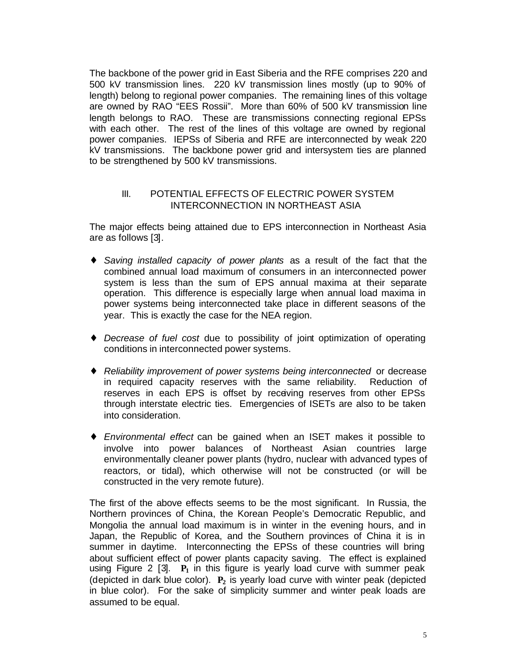The backbone of the power grid in East Siberia and the RFE comprises 220 and 500 kV transmission lines. 220 kV transmission lines mostly (up to 90% of length) belong to regional power companies. The remaining lines of this voltage are owned by RAO "EES Rossii". More than 60% of 500 kV transmission line length belongs to RAO. These are transmissions connecting regional EPSs with each other. The rest of the lines of this voltage are owned by regional power companies. IEPSs of Siberia and RFE are interconnected by weak 220 kV transmissions. The backbone power grid and intersystem ties are planned to be strengthened by 500 kV transmissions.

#### III. POTENTIAL EFFECTS OF ELECTRIC POWER SYSTEM INTERCONNECTION IN NORTHEAST ASIA

The major effects being attained due to EPS interconnection in Northeast Asia are as follows [3].

- ♦ *Saving installed capacity of power plants* as a result of the fact that the combined annual load maximum of consumers in an interconnected power system is less than the sum of EPS annual maxima at their separate operation. This difference is especially large when annual load maxima in power systems being interconnected take place in different seasons of the year. This is exactly the case for the NEA region.
- ♦ *Decrease of fuel cost* due to possibility of joint optimization of operating conditions in interconnected power systems.
- ♦ *Reliability improvement of power systems being interconnected* or decrease in required capacity reserves with the same reliability. Reduction of reserves in each EPS is offset by receiving reserves from other EPSs through interstate electric ties. Emergencies of ISETs are also to be taken into consideration.
- ♦ *Environmental effect* can be gained when an ISET makes it possible to involve into power balances of Northeast Asian countries large environmentally cleaner power plants (hydro, nuclear with advanced types of reactors, or tidal), which otherwise will not be constructed (or will be constructed in the very remote future).

The first of the above effects seems to be the most significant. In Russia, the Northern provinces of China, the Korean People's Democratic Republic, and Mongolia the annual load maximum is in winter in the evening hours, and in Japan, the Republic of Korea, and the Southern provinces of China it is in summer in daytime. Interconnecting the EPSs of these countries will bring about sufficient effect of power plants capacity saving. The effect is explained using Figure 2 [3]. **P1** in this figure is yearly load curve with summer peak (depicted in dark blue color). **P2** is yearly load curve with winter peak (depicted in blue color). For the sake of simplicity summer and winter peak loads are assumed to be equal.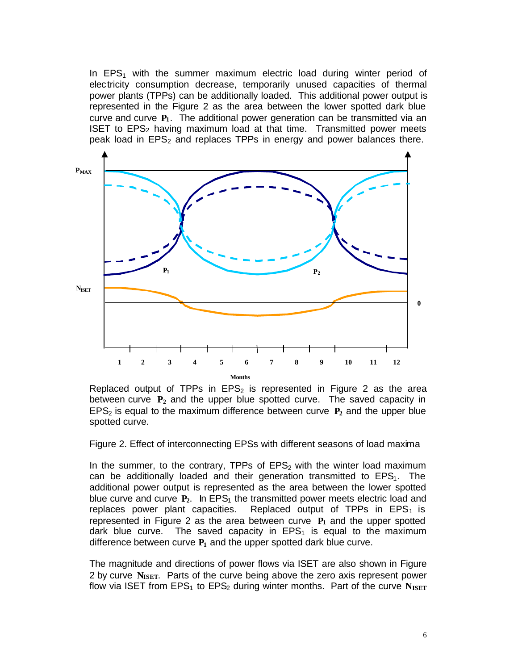In  $EPS<sub>1</sub>$  with the summer maximum electric load during winter period of electricity consumption decrease, temporarily unused capacities of thermal power plants (TPPs) can be additionally loaded. This additional power output is represented in the Figure 2 as the area between the lower spotted dark blue curve and curve **P1**. The additional power generation can be transmitted via an ISET to  $EPS<sub>2</sub>$  having maximum load at that time. Transmitted power meets peak load in  $EPS<sub>2</sub>$  and replaces TPPs in energy and power balances there.



Replaced output of TPPs in  $EPS<sub>2</sub>$  is represented in Figure 2 as the area between curve **P2** and the upper blue spotted curve. The saved capacity in EPS<sub>2</sub> is equal to the maximum difference between curve  $P_2$  and the upper blue spotted curve.

Figure 2. Effect of interconnecting EPSs with different seasons of load maxima

In the summer, to the contrary, TPPs of  $EPS<sub>2</sub>$  with the winter load maximum can be additionally loaded and their generation transmitted to  $EPS<sub>1</sub>$ . The additional power output is represented as the area between the lower spotted blue curve and curve  $P_2$ . In EPS<sub>1</sub> the transmitted power meets electric load and replaces power plant capacities. Replaced output of TPPs in  $EPS<sub>1</sub>$  is represented in Figure 2 as the area between curve **P1** and the upper spotted dark blue curve. The saved capacity in  $EPS<sub>1</sub>$  is equal to the maximum difference between curve **P1** and the upper spotted dark blue curve.

The magnitude and directions of power flows via ISET are also shown in Figure 2 by curve **NISET**. Parts of the curve being above the zero axis represent power flow via ISET from EPS<sub>1</sub> to EPS<sub>2</sub> during winter months. Part of the curve NISET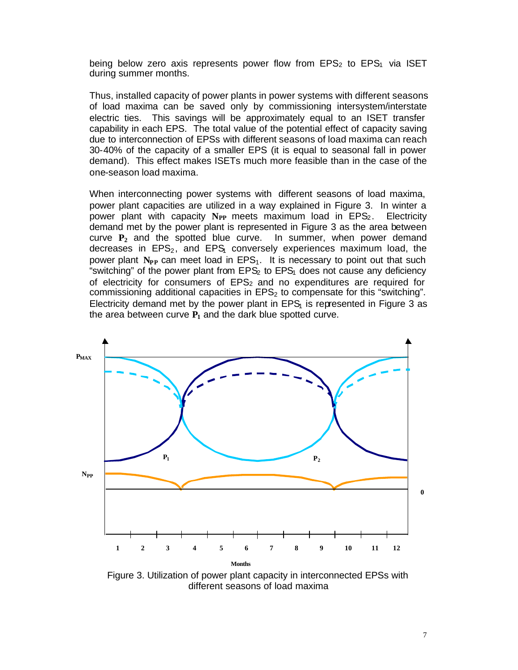being below zero axis represents power flow from  $EPS<sub>2</sub>$  to  $EPS<sub>1</sub>$  via ISET during summer months.

Thus, installed capacity of power plants in power systems with different seasons of load maxima can be saved only by commissioning intersystem/interstate electric ties. This savings will be approximately equal to an ISET transfer capability in each EPS. The total value of the potential effect of capacity saving due to interconnection of EPSs with different seasons of load maxima can reach 30-40% of the capacity of a smaller EPS (it is equal to seasonal fall in power demand). This effect makes ISETs much more feasible than in the case of the one-season load maxima.

When interconnecting power systems with different seasons of load maxima, power plant capacities are utilized in a way explained in Figure 3. In winter a power plant with capacity N<sub>PP</sub> meets maximum load in EPS<sub>2</sub>. Electricity demand met by the power plant is represented in Figure 3 as the area between curve  $P_2$  and the spotted blue curve. In summer, when power demand decreases in  $EPS<sub>2</sub>$ , and  $EPS<sub>1</sub>$  conversely experiences maximum load, the power plant  $N_{PP}$  can meet load in  $EPS<sub>1</sub>$ . It is necessary to point out that such "switching" of the power plant from  $EPS_2$  to  $EPS_1$  does not cause any deficiency of electricity for consumers of EPS<sub>2</sub> and no expenditures are required for commissioning additional capacities in  $EPS<sub>2</sub>$  to compensate for this "switching". Electricity demand met by the power plant in  $EPS<sub>1</sub>$  is represented in Figure 3 as the area between curve  $P_1$  and the dark blue spotted curve.



Figure 3. Utilization of power plant capacity in interconnected EPSs with different seasons of load maxima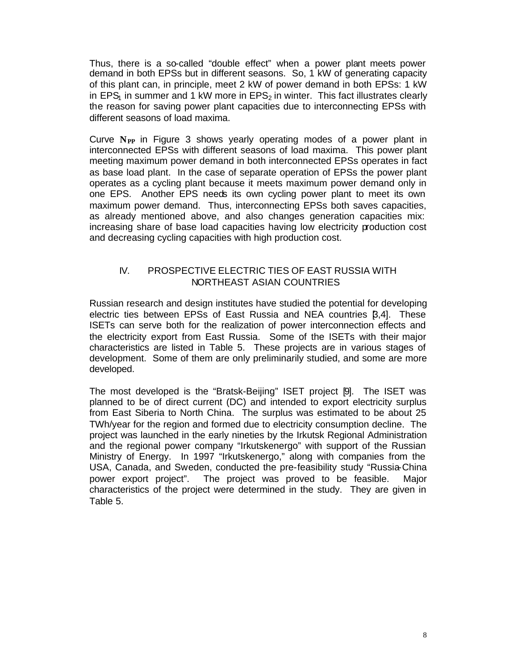Thus, there is a so-called "double effect" when a power plant meets power demand in both EPSs but in different seasons. So, 1 kW of generating capacity of this plant can, in principle, meet 2 kW of power demand in both EPSs: 1 kW in EPS<sub>1</sub> in summer and 1 kW more in EPS<sub>2</sub> in winter. This fact illustrates clearly the reason for saving power plant capacities due to interconnecting EPSs with different seasons of load maxima.

Curve **NPP** in Figure 3 shows yearly operating modes of a power plant in interconnected EPSs with different seasons of load maxima. This power plant meeting maximum power demand in both interconnected EPSs operates in fact as base load plant. In the case of separate operation of EPSs the power plant operates as a cycling plant because it meets maximum power demand only in one EPS. Another EPS needs its own cycling power plant to meet its own maximum power demand. Thus, interconnecting EPSs both saves capacities, as already mentioned above, and also changes generation capacities mix: increasing share of base load capacities having low electricity production cost and decreasing cycling capacities with high production cost.

## IV. PROSPECTIVE ELECTRIC TIES OF EAST RUSSIA WITH NORTHEAST ASIAN COUNTRIES

Russian research and design institutes have studied the potential for developing electric ties between EPSs of East Russia and NEA countries [3,4]. These ISETs can serve both for the realization of power interconnection effects and the electricity export from East Russia. Some of the ISETs with their major characteristics are listed in Table 5. These projects are in various stages of development. Some of them are only preliminarily studied, and some are more developed.

The most developed is the "Bratsk-Beijing" ISET project [9]. The ISET was planned to be of direct current (DC) and intended to export electricity surplus from East Siberia to North China. The surplus was estimated to be about 25 TWh/year for the region and formed due to electricity consumption decline. The project was launched in the early nineties by the Irkutsk Regional Administration and the regional power company "Irkutskenergo" with support of the Russian Ministry of Energy. In 1997 "Irkutskenergo," along with companies from the USA, Canada, and Sweden, conducted the pre-feasibility study "Russia-China power export project". The project was proved to be feasible. Major characteristics of the project were determined in the study. They are given in Table 5.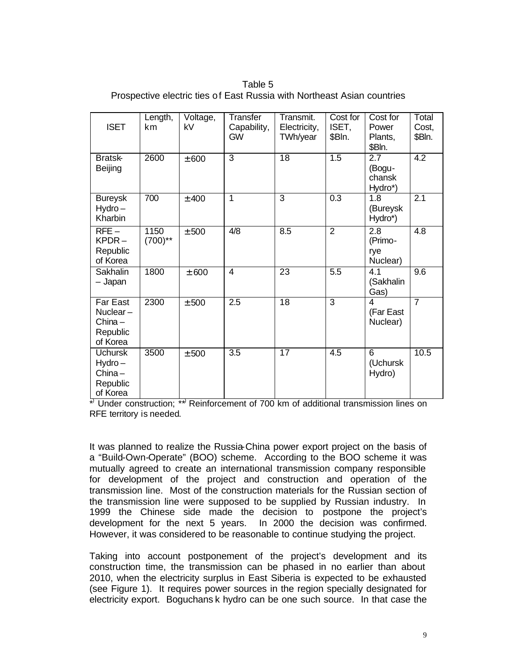Table 5 Prospective electric ties of East Russia with Northeast Asian countries

| <b>ISET</b>                                                     | Length,<br>km      | Voltage,<br>kV | Transfer<br>Capability,<br><b>GW</b> | Transmit.<br>Electricity,<br>TWh/year | Cost for<br>ISET,<br>\$Bln. | Cost for<br>Power<br>Plants,<br>\$Bln.         | Total<br>Cost,<br>\$Bln. |
|-----------------------------------------------------------------|--------------------|----------------|--------------------------------------|---------------------------------------|-----------------------------|------------------------------------------------|--------------------------|
| <b>Bratsk-</b><br>Beijing                                       | 2600               | ± 600          | 3                                    | $\overline{18}$                       | 1.5                         | 2.7<br>(Bogu-<br>chansk<br>Hydro*)             | 4.2                      |
| <b>Bureysk</b><br>$Hydro-$<br>Kharbin                           | 700                | $±$ 400        | 1                                    | 3                                     | 0.3                         | 1.8<br>(Bureysk<br>Hydro*)                     | 2.1                      |
| $RFE -$<br>$KPDF -$<br>Republic<br>of Korea                     | 1150<br>$(700)$ ** | ± 500          | 4/8                                  | 8.5                                   | $\overline{2}$              | $\overline{2.8}$<br>(Primo-<br>rye<br>Nuclear) | 4.8                      |
| Sakhalin<br>- Japan                                             | 1800               | ± 600          | $\overline{4}$                       | 23                                    | 5.5                         | 4.1<br>(Sakhalin<br>Gas)                       | 9.6                      |
| Far East<br>Nuclear $-$<br>$China -$<br>Republic<br>of Korea    | 2300               | ± 500          | 2.5                                  | 18                                    | 3                           | 4<br>(Far East<br>Nuclear)                     | $\overline{7}$           |
| <b>Uchursk</b><br>$Hydro-$<br>$China -$<br>Republic<br>of Korea | 3500               | ± 500          | 3.5                                  | 17                                    | 4.5                         | 6<br>(Uchursk<br>Hydro)                        | 10.5                     |

\*) Under construction; \*\*) Reinforcement of 700 km of additional transmission lines on RFE territory is needed.

It was planned to realize the Russia-China power export project on the basis of a "Build-Own-Operate" (BOO) scheme. According to the BOO scheme it was mutually agreed to create an international transmission company responsible for development of the project and construction and operation of the transmission line. Most of the construction materials for the Russian section of the transmission line were supposed to be supplied by Russian industry. In 1999 the Chinese side made the decision to postpone the project's development for the next 5 years. In 2000 the decision was confirmed. However, it was considered to be reasonable to continue studying the project.

Taking into account postponement of the project's development and its construction time, the transmission can be phased in no earlier than about 2010, when the electricity surplus in East Siberia is expected to be exhausted (see Figure 1). It requires power sources in the region specially designated for electricity export. Boguchans k hydro can be one such source. In that case the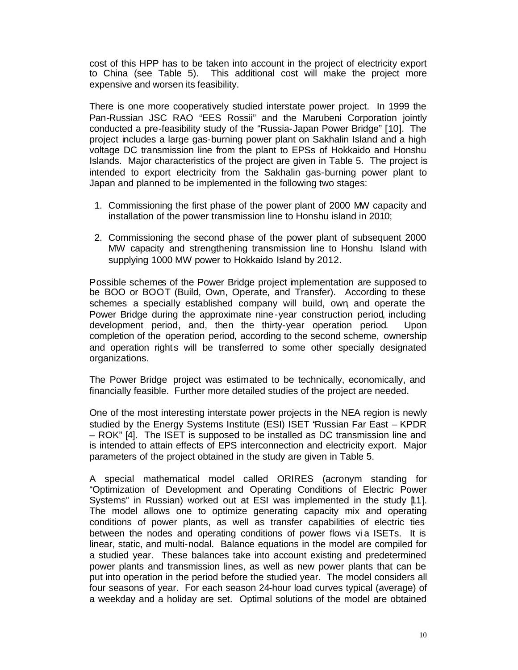cost of this HPP has to be taken into account in the project of electricity export to China (see Table 5). This additional cost will make the project more expensive and worsen its feasibility.

There is one more cooperatively studied interstate power project. In 1999 the Pan-Russian JSC RAO "EES Rossii" and the Marubeni Corporation jointly conducted a pre-feasibility study of the "Russia-Japan Power Bridge" [10]. The project includes a large gas-burning power plant on Sakhalin Island and a high voltage DC transmission line from the plant to EPSs of Hokkaido and Honshu Islands. Major characteristics of the project are given in Table 5. The project is intended to export electricity from the Sakhalin gas-burning power plant to Japan and planned to be implemented in the following two stages:

- 1. Commissioning the first phase of the power plant of 2000 MW capacity and installation of the power transmission line to Honshu island in 2010;
- 2. Commissioning the second phase of the power plant of subsequent 2000 MW capacity and strengthening transmission line to Honshu Island with supplying 1000 MW power to Hokkaido Island by 2012.

Possible schemes of the Power Bridge project implementation are supposed to be BOO or BOOT (Build, Own, Operate, and Transfer). According to these schemes a specially established company will build, own, and operate the Power Bridge during the approximate nine-year construction period, including development period, and, then the thirty-year operation period. Upon completion of the operation period, according to the second scheme, ownership and operation rights will be transferred to some other specially designated organizations.

The Power Bridge project was estimated to be technically, economically, and financially feasible. Further more detailed studies of the project are needed.

One of the most interesting interstate power projects in the NEA region is newly studied by the Energy Systems Institute (ESI) ISET "Russian Far East – KPDR – ROK" [4]. The ISET is supposed to be installed as DC transmission line and is intended to attain effects of EPS interconnection and electricity export. Major parameters of the project obtained in the study are given in Table 5.

A special mathematical model called ORIRES (acronym standing for "Optimization of Development and Operating Conditions of Electric Power Systems" in Russian) worked out at ESI was implemented in the study [11]. The model allows one to optimize generating capacity mix and operating conditions of power plants, as well as transfer capabilities of electric ties between the nodes and operating conditions of power flows via ISETs. It is linear, static, and multi-nodal. Balance equations in the model are compiled for a studied year. These balances take into account existing and predetermined power plants and transmission lines, as well as new power plants that can be put into operation in the period before the studied year. The model considers all four seasons of year. For each season 24-hour load curves typical (average) of a weekday and a holiday are set. Optimal solutions of the model are obtained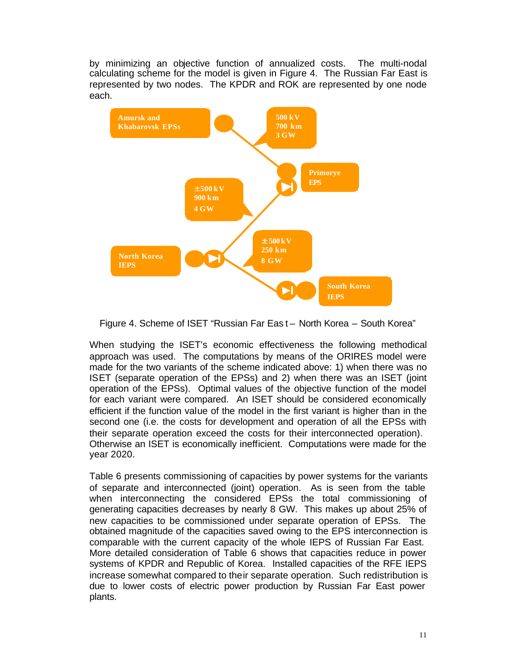by minimizing an objective function of annualized costs. The multi-nodal calculating scheme for the model is given in Figure 4. The Russian Far East is represented by two nodes. The KPDR and ROK are represented by one node each.



Figure 4. Scheme of ISET "Russian Far Eas t – North Korea – South Korea"

When studying the ISET's economic effectiveness the following methodical approach was used. The computations by means of the ORIRES model were made for the two variants of the scheme indicated above: 1) when there was no ISET (separate operation of the EPSs) and 2) when there was an ISET (joint operation of the EPSs). Optimal values of the objective function of the model for each variant were compared. An ISET should be considered economically efficient if the function value of the model in the first variant is higher than in the second one (i.e. the costs for development and operation of all the EPSs with their separate operation exceed the costs for their interconnected operation). Otherwise an ISET is economically inefficient. Computations were made for the year 2020.

Table 6 presents commissioning of capacities by power systems for the variants of separate and interconnected (joint) operation. As is seen from the table when interconnecting the considered EPSs the total commissioning of generating capacities decreases by nearly 8 GW. This makes up about 25% of new capacities to be commissioned under separate operation of EPSs. The obtained magnitude of the capacities saved owing to the EPS interconnection is comparable with the current capacity of the whole IEPS of Russian Far East. More detailed consideration of Table 6 shows that capacities reduce in power systems of KPDR and Republic of Korea. Installed capacities of the RFE IEPS increase somewhat compared to their separate operation. Such redistribution is due to lower costs of electric power production by Russian Far East power plants.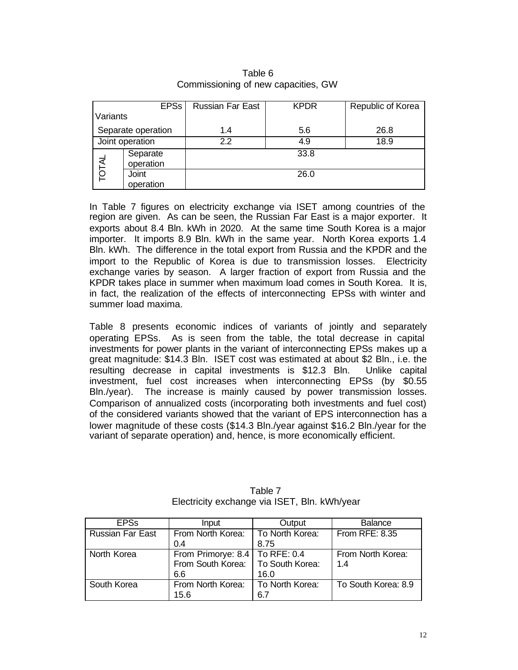|              | <b>EPSs</b>        | Russian Far East | <b>KPDR</b> | Republic of Korea |
|--------------|--------------------|------------------|-------------|-------------------|
| Variants     |                    |                  |             |                   |
|              | Separate operation | 1.4              | 5.6         | 26.8              |
|              | Joint operation    | 2.2              | 4.9         | 18.9              |
|              | Separate           |                  | 33.8        |                   |
|              | operation          |                  |             |                   |
| <b>TOTAL</b> | Joint              |                  | 26.0        |                   |
|              | operation          |                  |             |                   |

Table 6 Commissioning of new capacities, GW

In Table 7 figures on electricity exchange via ISET among countries of the region are given. As can be seen, the Russian Far East is a major exporter. It exports about 8.4 Bln. kWh in 2020. At the same time South Korea is a major importer. It imports 8.9 Bln. kWh in the same year. North Korea exports 1.4 Bln. kWh. The difference in the total export from Russia and the KPDR and the import to the Republic of Korea is due to transmission losses. Electricity exchange varies by season. A larger fraction of export from Russia and the KPDR takes place in summer when maximum load comes in South Korea. It is, in fact, the realization of the effects of interconnecting EPSs with winter and summer load maxima.

Table 8 presents economic indices of variants of jointly and separately operating EPSs. As is seen from the table, the total decrease in capital investments for power plants in the variant of interconnecting EPSs makes up a great magnitude: \$14.3 Bln. ISET cost was estimated at about \$2 Bln., i.e. the resulting decrease in capital investments is \$12.3 Bln. Unlike capital investment, fuel cost increases when interconnecting EPSs (by \$0.55 Bln./year). The increase is mainly caused by power transmission losses. Comparison of annualized costs (incorporating both investments and fuel cost) of the considered variants showed that the variant of EPS interconnection has a lower magnitude of these costs (\$14.3 Bln./year against \$16.2 Bln./year for the variant of separate operation) and, hence, is more economically efficient.

| <b>EPSs</b>             | Input              | Output          | <b>Balance</b>      |
|-------------------------|--------------------|-----------------|---------------------|
| <b>Russian Far East</b> | From North Korea:  | To North Korea: | From RFE: 8.35      |
|                         | 0.4                | 8.75            |                     |
| North Korea             | From Primorye: 8.4 | To RFE: 0.4     | From North Korea:   |
|                         | From South Korea:  | To South Korea: | 1.4                 |
|                         | 6.6                | 16.0            |                     |
| South Korea             | From North Korea:  | To North Korea: | To South Korea: 8.9 |
|                         | 15.6               | 6.7             |                     |

Table 7 Electricity exchange via ISET, Bln. kWh/year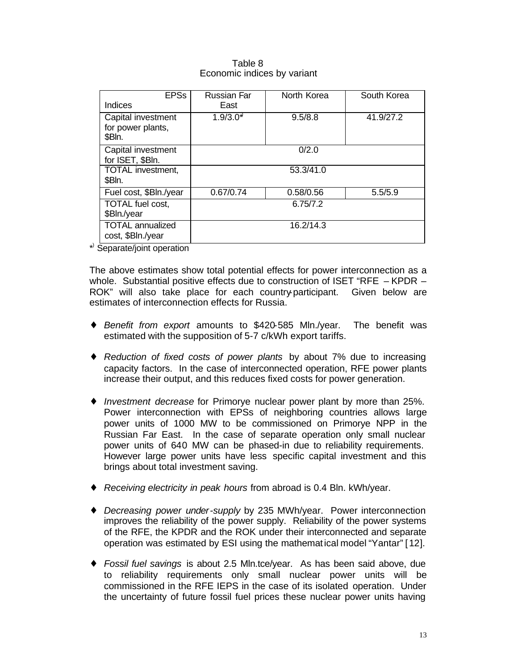| Table 8                     |  |
|-----------------------------|--|
| Economic indices by variant |  |

| <b>EPSs</b><br>Indices                            | <b>Russian Far</b><br>East | North Korea | South Korea |  |
|---------------------------------------------------|----------------------------|-------------|-------------|--|
| Capital investment<br>for power plants,<br>\$Bln. | $1.9/3.0*$                 | 9.5/8.8     | 41.9/27.2   |  |
| Capital investment<br>for ISET, \$Bln.            | 0/2.0                      |             |             |  |
| TOTAL investment,<br>\$Bln.                       |                            | 53.3/41.0   |             |  |
| Fuel cost, \$Bln./year                            | 0.67/0.74                  | 0.58/0.56   | 5.5/5.9     |  |
| TOTAL fuel cost,<br>\$Bln./year                   |                            | 6.75/7.2    |             |  |
| <b>TOTAL annualized</b><br>cost, \$Bln./year      | 16.2/14.3                  |             |             |  |

\* ) Separate/joint operation

The above estimates show total potential effects for power interconnection as a whole. Substantial positive effects due to construction of ISET "RFE - KPDR -ROK" will also take place for each country-participant. Given below are estimates of interconnection effects for Russia.

- ♦ *Benefit from export* amounts to \$420-585 Mln./year. The benefit was estimated with the supposition of 5-7 c/kWh export tariffs.
- ♦ *Reduction of fixed costs of power plants* by about 7% due to increasing capacity factors. In the case of interconnected operation, RFE power plants increase their output, and this reduces fixed costs for power generation.
- ♦ *Investment decrease* for Primorye nuclear power plant by more than 25%. Power interconnection with EPSs of neighboring countries allows large power units of 1000 MW to be commissioned on Primorye NPP in the Russian Far East. In the case of separate operation only small nuclear power units of 640 MW can be phased-in due to reliability requirements. However large power units have less specific capital investment and this brings about total investment saving.
- ♦ *Receiving electricity in peak hours* from abroad is 0.4 Bln. kWh/year.
- ♦ *Decreasing power under-supply* by 235 MWh/year. Power interconnection improves the reliability of the power supply. Reliability of the power systems of the RFE, the KPDR and the ROK under their interconnected and separate operation was estimated by ESI using the mathematical model "Yantar" [12].
- ♦ *Fossil fuel savings* is about 2.5 Mln.tce/year. As has been said above, due to reliability requirements only small nuclear power units will be commissioned in the RFE IEPS in the case of its isolated operation. Under the uncertainty of future fossil fuel prices these nuclear power units having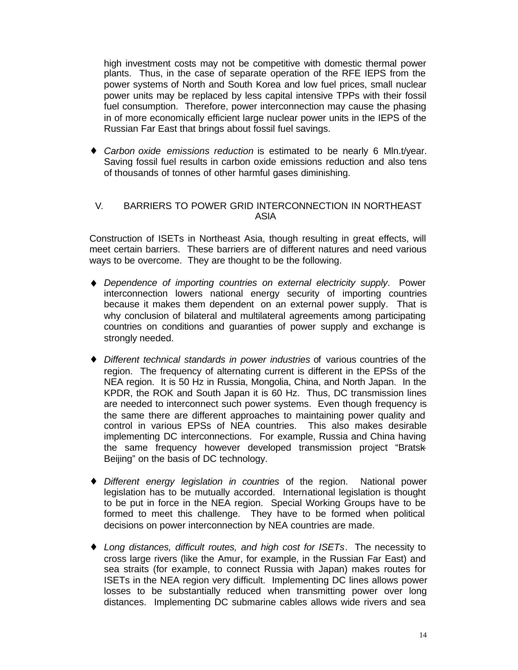high investment costs may not be competitive with domestic thermal power plants. Thus, in the case of separate operation of the RFE IEPS from the power systems of North and South Korea and low fuel prices, small nuclear power units may be replaced by less capital intensive TPPs with their fossil fuel consumption. Therefore, power interconnection may cause the phasing in of more economically efficient large nuclear power units in the IEPS of the Russian Far East that brings about fossil fuel savings.

♦ *Carbon oxide emissions reduction* is estimated to be nearly 6 Mln.t/year. Saving fossil fuel results in carbon oxide emissions reduction and also tens of thousands of tonnes of other harmful gases diminishing.

#### V. BARRIERS TO POWER GRID INTERCONNECTION IN NORTHEAST ASIA

Construction of ISETs in Northeast Asia, though resulting in great effects, will meet certain barriers. These barriers are of different natures and need various ways to be overcome. They are thought to be the following.

- ♦ *Dependence of importing countries on external electricity supply*. Power interconnection lowers national energy security of importing countries because it makes them dependent on an external power supply. That is why conclusion of bilateral and multilateral agreements among participating countries on conditions and guaranties of power supply and exchange is strongly needed.
- ♦ *Different technical standards in power industries* of various countries of the region. The frequency of alternating current is different in the EPSs of the NEA region. It is 50 Hz in Russia, Mongolia, China, and North Japan. In the KPDR, the ROK and South Japan it is 60 Hz. Thus, DC transmission lines are needed to interconnect such power systems. Even though frequency is the same there are different approaches to maintaining power quality and control in various EPSs of NEA countries. This also makes desirable implementing DC interconnections. For example, Russia and China having the same frequency however developed transmission project "Bratsk-Beijing" on the basis of DC technology.
- ♦ *Different energy legislation in countries* of the region. National power legislation has to be mutually accorded. International legislation is thought to be put in force in the NEA region. Special Working Groups have to be formed to meet this challenge. They have to be formed when political decisions on power interconnection by NEA countries are made.
- ♦ *Long distances, difficult routes, and high cost for ISETs*. The necessity to cross large rivers (like the Amur, for example, in the Russian Far East) and sea straits (for example, to connect Russia with Japan) makes routes for ISETs in the NEA region very difficult. Implementing DC lines allows power losses to be substantially reduced when transmitting power over long distances. Implementing DC submarine cables allows wide rivers and sea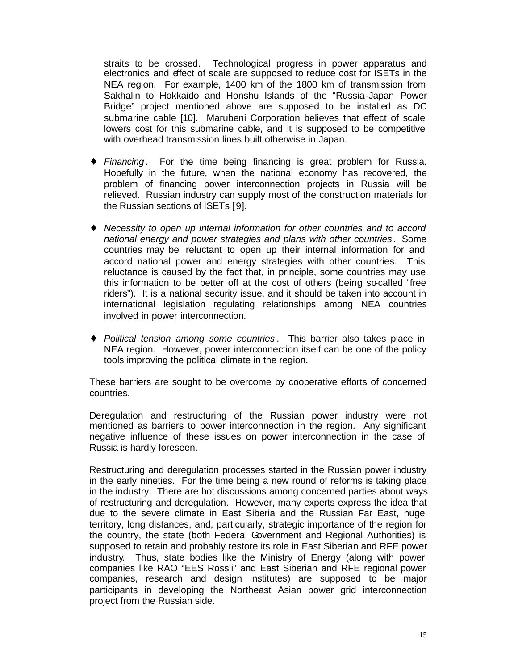straits to be crossed. Technological progress in power apparatus and electronics and effect of scale are supposed to reduce cost for ISETs in the NEA region. For example, 1400 km of the 1800 km of transmission from Sakhalin to Hokkaido and Honshu Islands of the "Russia-Japan Power Bridge" project mentioned above are supposed to be installed as DC submarine cable [10]. Marubeni Corporation believes that effect of scale lowers cost for this submarine cable, and it is supposed to be competitive with overhead transmission lines built otherwise in Japan.

- *Financing*. For the time being financing is great problem for Russia. Hopefully in the future, when the national economy has recovered, the problem of financing power interconnection projects in Russia will be relieved. Russian industry can supply most of the construction materials for the Russian sections of ISETs [9].
- ♦ *Necessity to open up internal information for other countries and to accord national energy and power strategies and plans with other countries*. Some countries may be reluctant to open up their internal information for and accord national power and energy strategies with other countries. This reluctance is caused by the fact that, in principle, some countries may use this information to be better off at the cost of others (being so-called "free riders"). It is a national security issue, and it should be taken into account in international legislation regulating relationships among NEA countries involved in power interconnection.
- ♦ *Political tension among some countries* . This barrier also takes place in NEA region. However, power interconnection itself can be one of the policy tools improving the political climate in the region.

These barriers are sought to be overcome by cooperative efforts of concerned countries.

Deregulation and restructuring of the Russian power industry were not mentioned as barriers to power interconnection in the region. Any significant negative influence of these issues on power interconnection in the case of Russia is hardly foreseen.

Restructuring and deregulation processes started in the Russian power industry in the early nineties. For the time being a new round of reforms is taking place in the industry. There are hot discussions among concerned parties about ways of restructuring and deregulation. However, many experts express the idea that due to the severe climate in East Siberia and the Russian Far East, huge territory, long distances, and, particularly, strategic importance of the region for the country, the state (both Federal Government and Regional Authorities) is supposed to retain and probably restore its role in East Siberian and RFE power industry. Thus, state bodies like the Ministry of Energy (along with power companies like RAO "EES Rossii" and East Siberian and RFE regional power companies, research and design institutes) are supposed to be major participants in developing the Northeast Asian power grid interconnection project from the Russian side.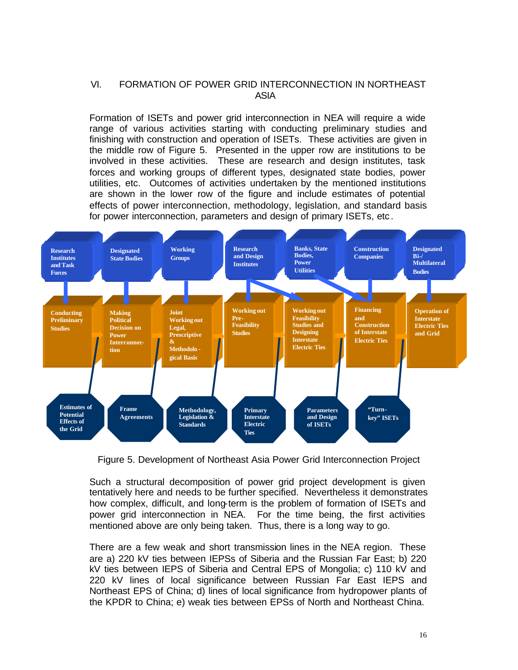#### VI. FORMATION OF POWER GRID INTERCONNECTION IN NORTHEAST ASIA

Formation of ISETs and power grid interconnection in NEA will require a wide range of various activities starting with conducting preliminary studies and finishing with construction and operation of ISETs. These activities are given in the middle row of Figure 5. Presented in the upper row are institutions to be involved in these activities. These are research and design institutes, task forces and working groups of different types, designated state bodies, power utilities, etc. Outcomes of activities undertaken by the mentioned institutions are shown in the lower row of the figure and include estimates of potential effects of power interconnection, methodology, legislation, and standard basis for power interconnection, parameters and design of primary ISETs, etc.



Figure 5. Development of Northeast Asia Power Grid Interconnection Project

Such a structural decomposition of power grid project development is given tentatively here and needs to be further specified. Nevertheless it demonstrates how complex, difficult, and long-term is the problem of formation of ISETs and power grid interconnection in NEA. For the time being, the first activities mentioned above are only being taken. Thus, there is a long way to go.

There are a few weak and short transmission lines in the NEA region. These are a) 220 kV ties between IEPSs of Siberia and the Russian Far East; b) 220 kV ties between IEPS of Siberia and Central EPS of Mongolia; c) 110 kV and 220 kV lines of local significance between Russian Far East IEPS and Northeast EPS of China; d) lines of local significance from hydropower plants of the KPDR to China; e) weak ties between EPSs of North and Northeast China.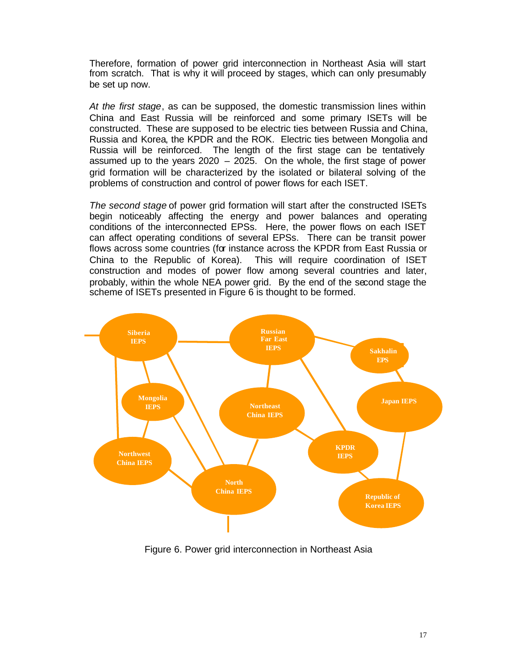Therefore, formation of power grid interconnection in Northeast Asia will start from scratch. That is why it will proceed by stages, which can only presumably be set up now.

*At the first stage*, as can be supposed, the domestic transmission lines within China and East Russia will be reinforced and some primary ISETs will be constructed. These are supposed to be electric ties between Russia and China, Russia and Korea, the KPDR and the ROK. Electric ties between Mongolia and Russia will be reinforced. The length of the first stage can be tentatively assumed up to the years  $2020 - 2025$ . On the whole, the first stage of power grid formation will be characterized by the isolated or bilateral solving of the problems of construction and control of power flows for each ISET.

*The second stage* of power grid formation will start after the constructed ISETs begin noticeably affecting the energy and power balances and operating conditions of the interconnected EPSs. Here, the power flows on each ISET can affect operating conditions of several EPSs. There can be transit power flows across some countries (for instance across the KPDR from East Russia or China to the Republic of Korea). This will require coordination of ISET construction and modes of power flow among several countries and later, probably, within the whole NEA power grid. By the end of the second stage the scheme of ISETs presented in Figure 6 is thought to be formed.



Figure 6. Power grid interconnection in Northeast Asia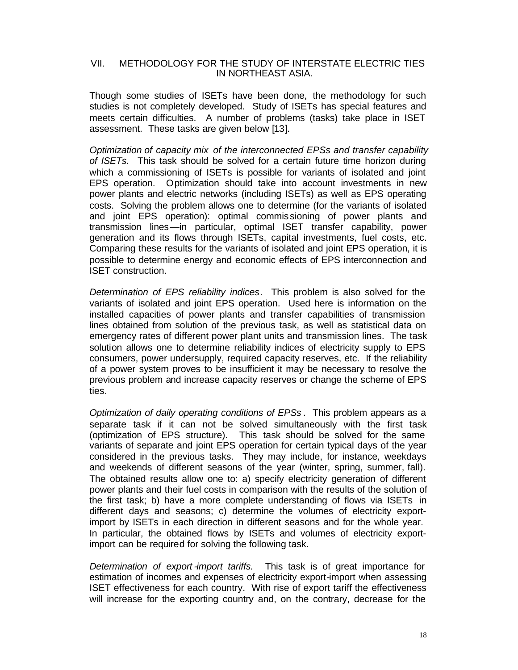#### VII. METHODOLOGY FOR THE STUDY OF INTERSTATE ELECTRIC TIES IN NORTHEAST ASIA.

Though some studies of ISETs have been done, the methodology for such studies is not completely developed. Study of ISETs has special features and meets certain difficulties. A number of problems (tasks) take place in ISET assessment. These tasks are given below [13].

*Optimization of capacity mix of the interconnected EPSs and transfer capability of ISETs.* This task should be solved for a certain future time horizon during which a commissioning of ISETs is possible for variants of isolated and joint EPS operation. Optimization should take into account investments in new power plants and electric networks (including ISETs) as well as EPS operating costs. Solving the problem allows one to determine (for the variants of isolated and joint EPS operation): optimal commis sioning of power plants and transmission lines—in particular, optimal ISET transfer capability, power generation and its flows through ISETs, capital investments, fuel costs, etc. Comparing these results for the variants of isolated and joint EPS operation, it is possible to determine energy and economic effects of EPS interconnection and ISET construction.

*Determination of EPS reliability indices*. This problem is also solved for the variants of isolated and joint EPS operation. Used here is information on the installed capacities of power plants and transfer capabilities of transmission lines obtained from solution of the previous task, as well as statistical data on emergency rates of different power plant units and transmission lines. The task solution allows one to determine reliability indices of electricity supply to EPS consumers, power undersupply, required capacity reserves, etc. If the reliability of a power system proves to be insufficient it may be necessary to resolve the previous problem and increase capacity reserves or change the scheme of EPS ties.

*Optimization of daily operating conditions of EPSs* . This problem appears as a separate task if it can not be solved simultaneously with the first task (optimization of EPS structure). This task should be solved for the same variants of separate and joint EPS operation for certain typical days of the year considered in the previous tasks. They may include, for instance, weekdays and weekends of different seasons of the year (winter, spring, summer, fall). The obtained results allow one to: a) specify electricity generation of different power plants and their fuel costs in comparison with the results of the solution of the first task; b) have a more complete understanding of flows via ISETs in different days and seasons; c) determine the volumes of electricity exportimport by ISETs in each direction in different seasons and for the whole year. In particular, the obtained flows by ISETs and volumes of electricity exportimport can be required for solving the following task.

*Determination of export -import tariffs.* This task is of great importance for estimation of incomes and expenses of electricity export-import when assessing ISET effectiveness for each country. With rise of export tariff the effectiveness will increase for the exporting country and, on the contrary, decrease for the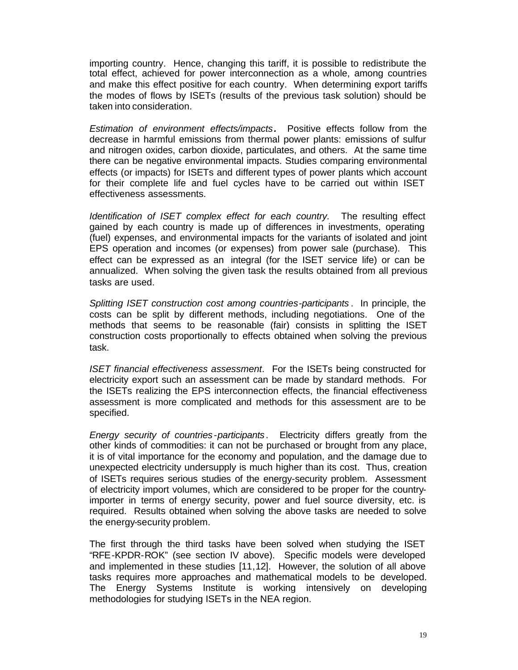importing country. Hence, changing this tariff, it is possible to redistribute the total effect, achieved for power interconnection as a whole, among countries and make this effect positive for each country. When determining export tariffs the modes of flows by ISETs (results of the previous task solution) should be taken into consideration.

*Estimation of environment effects/impacts .* Positive effects follow from the decrease in harmful emissions from thermal power plants: emissions of sulfur and nitrogen oxides, carbon dioxide, particulates, and others. At the same time there can be negative environmental impacts. Studies comparing environmental effects (or impacts) for ISETs and different types of power plants which account for their complete life and fuel cycles have to be carried out within ISET effectiveness assessments.

*Identification of ISET complex effect for each country.* The resulting effect gained by each country is made up of differences in investments, operating (fuel) expenses, and environmental impacts for the variants of isolated and joint EPS operation and incomes (or expenses) from power sale (purchase). This effect can be expressed as an integral (for the ISET service life) or can be annualized. When solving the given task the results obtained from all previous tasks are used.

*Splitting ISET construction cost among countries-participants* . In principle, the costs can be split by different methods, including negotiations. One of the methods that seems to be reasonable (fair) consists in splitting the ISET construction costs proportionally to effects obtained when solving the previous task.

*ISET financial effectiveness assessment*. For the ISETs being constructed for electricity export such an assessment can be made by standard methods. For the ISETs realizing the EPS interconnection effects, the financial effectiveness assessment is more complicated and methods for this assessment are to be specified.

*Energy security of countries-participants*. Electricity differs greatly from the other kinds of commodities: it can not be purchased or brought from any place, it is of vital importance for the economy and population, and the damage due to unexpected electricity undersupply is much higher than its cost. Thus, creation of ISETs requires serious studies of the energy-security problem. Assessment of electricity import volumes, which are considered to be proper for the countryimporter in terms of energy security, power and fuel source diversity, etc. is required. Results obtained when solving the above tasks are needed to solve the energy-security problem.

The first through the third tasks have been solved when studying the ISET "RFE-KPDR-ROK" (see section IV above). Specific models were developed and implemented in these studies [11,12]. However, the solution of all above tasks requires more approaches and mathematical models to be developed. The Energy Systems Institute is working intensively on developing methodologies for studying ISETs in the NEA region.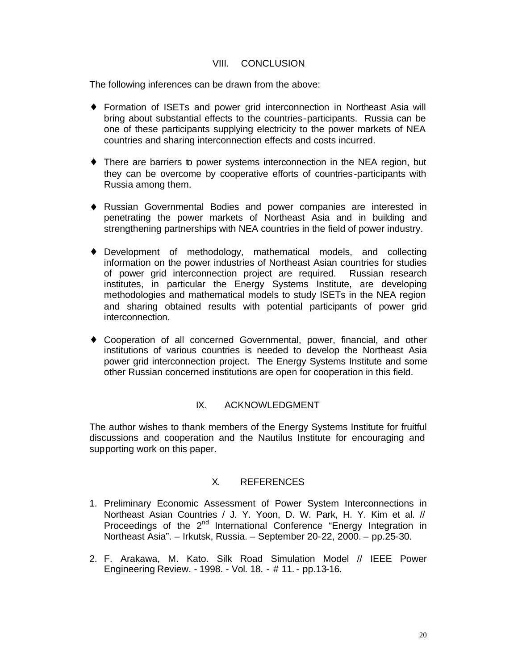### VIII. CONCLUSION

The following inferences can be drawn from the above:

- ♦ Formation of ISETs and power grid interconnection in Northeast Asia will bring about substantial effects to the countries-participants. Russia can be one of these participants supplying electricity to the power markets of NEA countries and sharing interconnection effects and costs incurred.
- ♦ There are barriers to power systems interconnection in the NEA region, but they can be overcome by cooperative efforts of countries-participants with Russia among them.
- ♦ Russian Governmental Bodies and power companies are interested in penetrating the power markets of Northeast Asia and in building and strengthening partnerships with NEA countries in the field of power industry.
- ♦ Development of methodology, mathematical models, and collecting information on the power industries of Northeast Asian countries for studies of power grid interconnection project are required. Russian research institutes, in particular the Energy Systems Institute, are developing methodologies and mathematical models to study ISETs in the NEA region and sharing obtained results with potential participants of power grid interconnection.
- ♦ Cooperation of all concerned Governmental, power, financial, and other institutions of various countries is needed to develop the Northeast Asia power grid interconnection project. The Energy Systems Institute and some other Russian concerned institutions are open for cooperation in this field.

#### IX. ACKNOWLEDGMENT

The author wishes to thank members of the Energy Systems Institute for fruitful discussions and cooperation and the Nautilus Institute for encouraging and supporting work on this paper.

## X. REFERENCES

- 1. Preliminary Economic Assessment of Power System Interconnections in Northeast Asian Countries / J. Y. Yoon, D. W. Park, H. Y. Kim et al. // Proceedings of the 2<sup>nd</sup> International Conference "Energy Integration in Northeast Asia". – Irkutsk, Russia. – September 20-22, 2000. – pp.25-30.
- 2. F. Arakawa, M. Kato. Silk Road Simulation Model // IEEE Power Engineering Review. - 1998. - Vol. 18. - # 11. - pp.13-16.